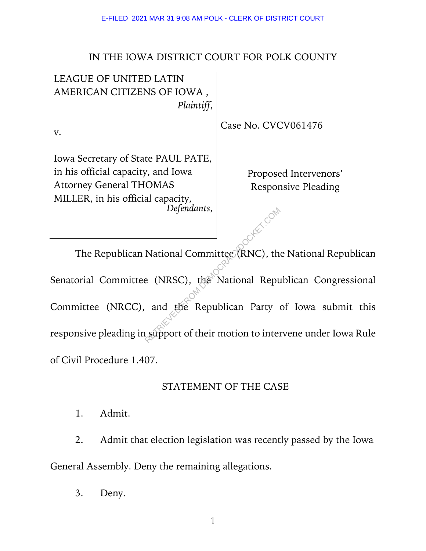#### IN THE IOWA DISTRICT COURT FOR POLK COUNTY

| <b>LEAGUE OF UNITED LATIN</b>                    |                            |
|--------------------------------------------------|----------------------------|
| AMERICAN CITIZENS OF IOWA,                       |                            |
| Plaintiff,                                       |                            |
| V.                                               | Case No. CVCV061476        |
| Iowa Secretary of State PAUL PATE,               |                            |
| in his official capacity, and Iowa               | Proposed Intervenors'      |
| <b>Attorney General THOMAS</b>                   | <b>Responsive Pleading</b> |
| MILLER, in his official capacity,<br>Defendants, |                            |
|                                                  |                            |

The Republican National Committee (RNC), the National Republican Senatorial Committee (NRSC), the National Republican Congressional Committee (NRCC), and the Republican Party of Iowa submit this responsive pleading in support of their motion to intervene under Iowa Rule of Civil Procedure 1.407. Defenaants,<br>
National Committee (RNC), the<br>
e (NRSC), the National Repu<br>
and the Republican Party<br>
usupport of their motion to inter

#### STATEMENT OF THE CASE

1. Admit.

2. Admit that election legislation was recently passed by the Iowa General Assembly. Deny the remaining allegations.

3. Deny.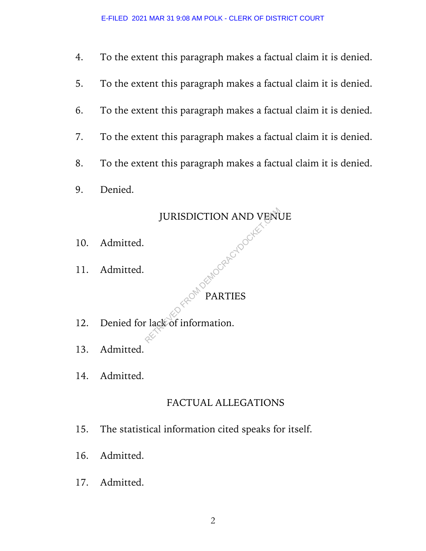- 4. To the extent this paragraph makes a factual claim it is denied.
- 5. To the extent this paragraph makes a factual claim it is denied.
- 6. To the extent this paragraph makes a factual claim it is denied.
- 7. To the extent this paragraph makes a factual claim it is denied.
- 8. To the extent this paragraph makes a factual claim it is denied.
- 9. Denied.

# JURISDICTION AND VENUE LGRACYDOCKET

- 10. Admitted.
- 11. Admitted.

PARTIES

- 12. Denied for lack of information.
- 13. Admitted.
- 14. Admitted.

#### FACTUAL ALLEGATIONS

- 15. The statistical information cited speaks for itself.
- 16. Admitted.
- 17. Admitted.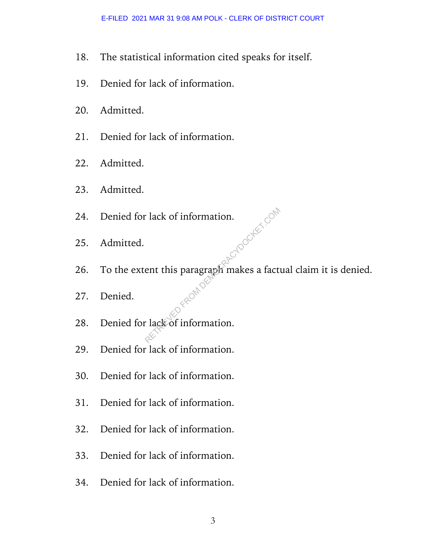- 18. The statistical information cited speaks for itself.
- 19. Denied for lack of information.
- 20. Admitted.
- 21. Denied for lack of information.
- 22. Admitted.
- 23. Admitted.
- 24. Denied for lack of information.
- 25. Admitted.
- 26. To the extent this paragraph makes a factual claim it is denied. Property of the paragraph makes a fact of information.
- 27. Denied.
- 28. Denied for lack of information.
- 29. Denied for lack of information.
- 30. Denied for lack of information.
- 31. Denied for lack of information.
- 32. Denied for lack of information.
- 33. Denied for lack of information.
- 34. Denied for lack of information.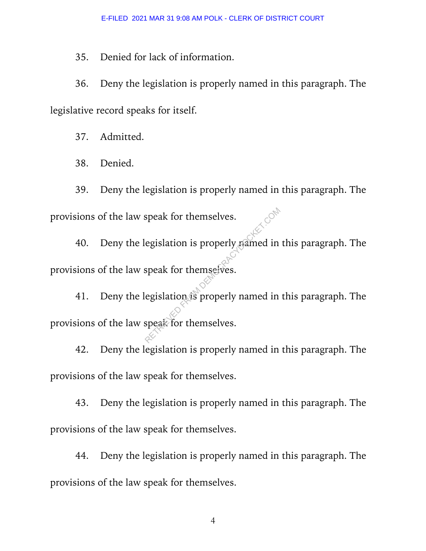35. Denied for lack of information.

36. Deny the legislation is properly named in this paragraph. The legislative record speaks for itself.

37. Admitted.

38. Denied.

39. Deny the legislation is properly named in this paragraph. The provisions of the law speak for themselves.

40. Deny the legislation is properly named in this paragraph. The provisions of the law speak for themselves. Speak for themselves.<br>
Regislation is properly pained in<br>
speak for themselves.<br>
Regislation is properly named in<br>
speak for themselves.

41. Deny the legislation is properly named in this paragraph. The provisions of the law speak for themselves.

42. Deny the legislation is properly named in this paragraph. The provisions of the law speak for themselves.

43. Deny the legislation is properly named in this paragraph. The provisions of the law speak for themselves.

44. Deny the legislation is properly named in this paragraph. The provisions of the law speak for themselves.

4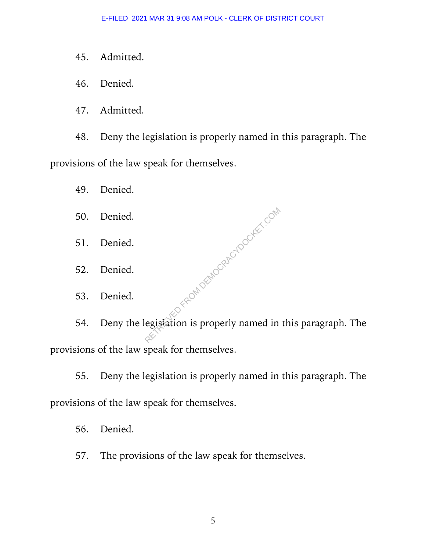- 45. Admitted.
- 46. Denied.
- 47. Admitted.

48. Deny the legislation is properly named in this paragraph. The provisions of the law speak for themselves.

49. Denied.

- 50. Denied.
- 51. Denied.
- 52. Denied.
- 53. Denied.

54. Deny the legislation is properly named in this paragraph. The provisions of the law speak for themselves. Y FROM DEMOCRACYDOCKET.COM

55. Deny the legislation is properly named in this paragraph. The provisions of the law speak for themselves.

56. Denied.

57. The provisions of the law speak for themselves.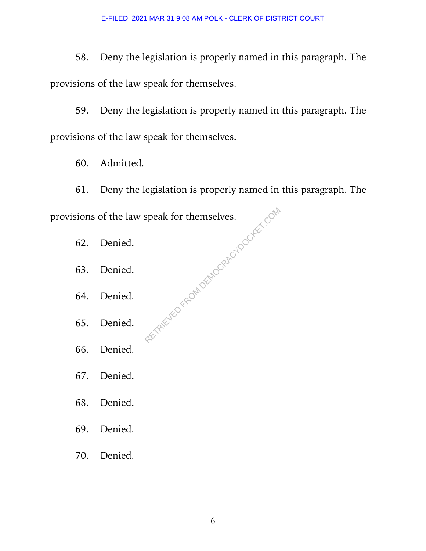58. Deny the legislation is properly named in this paragraph. The provisions of the law speak for themselves.

59. Deny the legislation is properly named in this paragraph. The provisions of the law speak for themselves.

60. Admitted.

61. Deny the legislation is properly named in this paragraph. The provisions of the law speak for themselves. RETRIEVED FROM DEMOCRACYDOCKET.COM

- 62. Denied.
- 63. Denied.
- 64. Denied.
- 65. Denied.
- 66. Denied.
- 67. Denied.
- 68. Denied.
- 69. Denied.
- 70. Denied.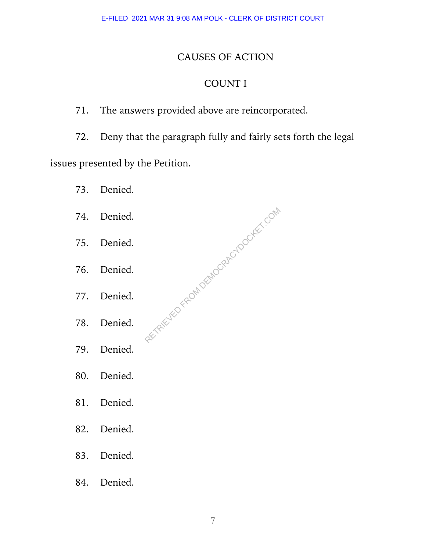#### CAUSES OF ACTION

## COUNT I

### 71. The answers provided above are reincorporated.

72. Deny that the paragraph fully and fairly sets forth the legal

RETRIEVED FROM DEMOCRACYDOCKET.COM

issues presented by the Petition.

- 73. Denied.
- 74. Denied.
- 75. Denied.
- 76. Denied.
- 77. Denied.
- 78. Denied.
- 79. Denied.
- 80. Denied.
- 81. Denied.
- 82. Denied.
- 83. Denied.
- 84. Denied.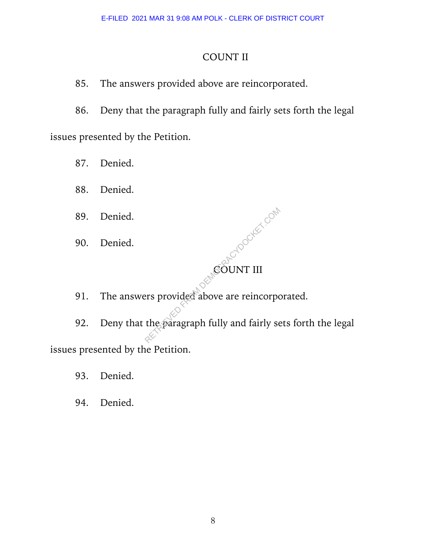#### COUNT II

85. The answers provided above are reincorporated.

86. Deny that the paragraph fully and fairly sets forth the legal issues presented by the Petition.

87. Denied.

88. Denied.

89. Denied.

90. Denied.

# COUNT III **ROOCKET COM**

91. The answers provided above are reincorporated.

92. Deny that the paragraph fully and fairly sets forth the legal issues presented by the Petition.

93. Denied.

94. Denied.